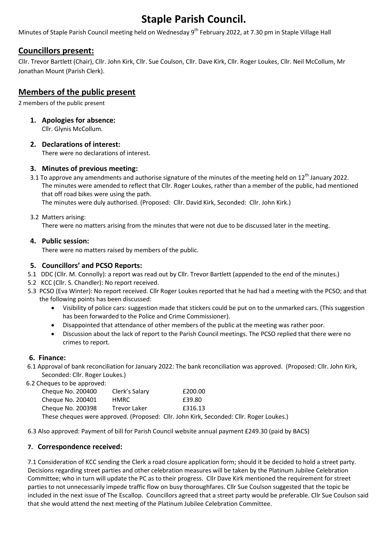# Staple Parish Council.

Minutes of Staple Parish Council meeting held on Wednesday 9<sup>th</sup> February 2022, at 7.30 pm in Staple Village Hall

# Councillors present:

Cllr. Trevor Bartlett (Chair), Cllr. John Kirk, Cllr. Sue Coulson, Cllr. Dave Kirk, Cllr. Roger Loukes, Cllr. Neil McCollum, Mr Jonathan Mount (Parish Clerk).

# Members of the public present

2 members of the public present

1. Apologies for absence:

Cllr. Glynis McCollum.

# 2. Declarations of interest:

There were no declarations of interest.

# 3. Minutes of previous meeting:

3.1 To approve any amendments and authorise signature of the minutes of the meeting held on  $12<sup>th</sup>$  January 2022. The minutes were amended to reflect that Cllr. Roger Loukes, rather than a member of the public, had mentioned that off road bikes were using the path.

The minutes were duly authorised. (Proposed: Cllr. David Kirk, Seconded: Cllr. John Kirk.)

### 3.2 Matters arising:

There were no matters arising from the minutes that were not due to be discussed later in the meeting.

# 4. Public session:

There were no matters raised by members of the public.

# 5. Councillors' and PCSO Reports:

- 5.1 DDC (Cllr. M. Connolly): a report was read out by Cllr. Trevor Bartlett (appended to the end of the minutes.)
- 5.2 KCC (Cllr. S. Chandler): No report received.
- 5.3 PCSO (Eva Winter): No report received. Cllr Roger Loukes reported that he had had a meeting with the PCSO; and that the following points has been discussed:
	- Visibility of police cars: suggestion made that stickers could be put on to the unmarked cars. (This suggestion has been forwarded to the Police and Crime Commissioner).
	- Disappointed that attendance of other members of the public at the meeting was rather poor.
	- Discussion about the lack of report to the Parish Council meetings. The PCSO replied that there were no crimes to report.

### 6. Finance:

 6.1 Approval of bank reconciliation for January 2022: The bank reconciliation was approved. (Proposed: Cllr. John Kirk, Seconded: Cllr. Roger Loukes.)

6.2 Cheques to be approved:

| Cheque No. 200400 | Clerk's Salary | £200.00                                                                                 |  |
|-------------------|----------------|-----------------------------------------------------------------------------------------|--|
| Cheque No. 200401 | HMRC.          | £39.80                                                                                  |  |
| Cheque No. 200398 | Trevor Laker   | £316.13                                                                                 |  |
|                   |                | These cheques were approved. (Proposed: Cllr. John Kirk, Seconded: Cllr. Roger Loukes.) |  |

6.3 Also approved: Payment of bill for Parish Council website annual payment £249.30 (paid by BACS)

# 7. Correspondence received:

7.1 Consideration of KCC sending the Clerk a road closure application form; should it be decided to hold a street party. Decisions regarding street parties and other celebration measures will be taken by the Platinum Jubilee Celebration Committee; who in turn will update the PC as to their progress. Cllr Dave Kirk mentioned the requirement for street parties to not unnecessarily impede traffic flow on busy thoroughfares. Cllr Sue Coulson suggested that the topic be included in the next issue of The Escallop. Councillors agreed that a street party would be preferable. Cllr Sue Coulson said that she would attend the next meeting of the Platinum Jubilee Celebration Committee.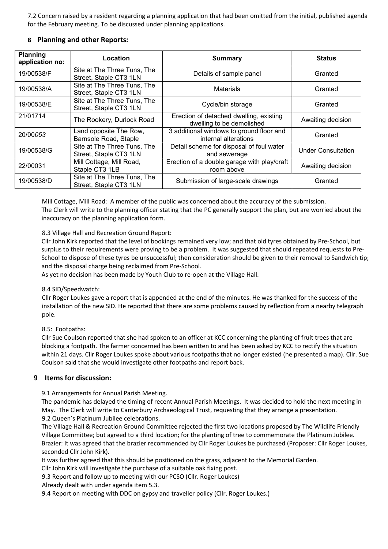7.2 Concern raised by a resident regarding a planning application that had been omitted from the initial, published agenda for the February meeting. To be discussed under planning applications.

#### 8 Planning and other Reports:

| <b>Planning</b><br>application no: | Location                                              | <b>Summary</b>                                                       | <b>Status</b>             |
|------------------------------------|-------------------------------------------------------|----------------------------------------------------------------------|---------------------------|
| 19/00538/F                         | Site at The Three Tuns, The<br>Street, Staple CT3 1LN | Details of sample panel                                              | Granted                   |
| 19/00538/A                         | Site at The Three Tuns, The<br>Street, Staple CT3 1LN | <b>Materials</b>                                                     | Granted                   |
| 19/00538/E                         | Site at The Three Tuns, The<br>Street, Staple CT3 1LN | Cycle/bin storage                                                    | Granted                   |
| 21/01714                           | The Rookery, Durlock Road                             | Erection of detached dwelling, existing<br>dwelling to be demolished | Awaiting decision         |
| 20/00053                           | Land opposite The Row,<br>Barnsole Road, Staple       | 3 additional windows to ground floor and<br>internal alterations     | Granted                   |
| 19/00538/G                         | Site at The Three Tuns, The<br>Street, Staple CT3 1LN | Detail scheme for disposal of foul water<br>and sewerage             | <b>Under Consultation</b> |
| 22/00031                           | Mill Cottage, Mill Road,<br>Staple CT3 1LB            | Erection of a double garage with play/craft<br>room above            | Awaiting decision         |
| 19/00538/D                         | Site at The Three Tuns, The<br>Street, Staple CT3 1LN | Submission of large-scale drawings                                   | Granted                   |

 Mill Cottage, Mill Road: A member of the public was concerned about the accuracy of the submission. The Clerk will write to the planning officer stating that the PC generally support the plan, but are worried about the inaccuracy on the planning application form.

8.3 Village Hall and Recreation Ground Report:

Cllr John Kirk reported that the level of bookings remained very low; and that old tyres obtained by Pre-School, but surplus to their requirements were proving to be a problem. It was suggested that should repeated requests to Pre-School to dispose of these tyres be unsuccessful; then consideration should be given to their removal to Sandwich tip; and the disposal charge being reclaimed from Pre-School.

As yet no decision has been made by Youth Club to re-open at the Village Hall.

#### 8.4 SID/Speedwatch:

Cllr Roger Loukes gave a report that is appended at the end of the minutes. He was thanked for the success of the installation of the new SID. He reported that there are some problems caused by reflection from a nearby telegraph pole.

#### 8.5: Footpaths:

Cllr Sue Coulson reported that she had spoken to an officer at KCC concerning the planting of fruit trees that are blocking a footpath. The farmer concerned has been written to and has been asked by KCC to rectify the situation within 21 days. Cllr Roger Loukes spoke about various footpaths that no longer existed (he presented a map). Cllr. Sue Coulson said that she would investigate other footpaths and report back.

#### 9 Items for discussion:

9.1 Arrangements for Annual Parish Meeting.

The pandemic has delayed the timing of recent Annual Parish Meetings. It was decided to hold the next meeting in May. The Clerk will write to Canterbury Archaeological Trust, requesting that they arrange a presentation. 9.2 Queen's Platinum Jubilee celebrations.

The Village Hall & Recreation Ground Committee rejected the first two locations proposed by The Wildlife Friendly Village Committee; but agreed to a third location; for the planting of tree to commemorate the Platinum Jubilee. Brazier: It was agreed that the brazier recommended by Cllr Roger Loukes be purchased (Proposer: Cllr Roger Loukes, seconded Cllr John Kirk).

It was further agreed that this should be positioned on the grass, adjacent to the Memorial Garden.

Cllr John Kirk will investigate the purchase of a suitable oak fixing post.

9.3 Report and follow up to meeting with our PCSO (Cllr. Roger Loukes)

Already dealt with under agenda item 5.3.

9.4 Report on meeting with DDC on gypsy and traveller policy (Cllr. Roger Loukes.)